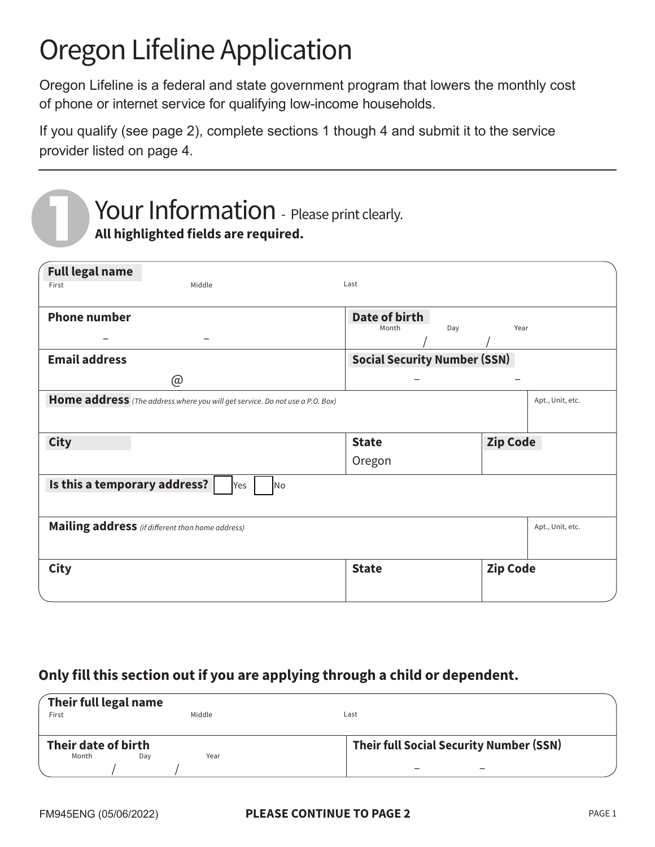# Oregon Lifeline Application

Oregon Lifeline is a federal and state government program that lowers the monthly cost of phone or internet service for qualifying low-income households.

If you qualify (see page 2), complete sections 1 though 4 and submit it to the service provider listed on page 4.

## **Full legal name** / / First Last and Middle Communications of the Middle Communications of the Last Last **Phone number Date of birth** Month Day Year **Email address Social Security Number (SSN)** @ – – **Home address** *(The address where you will get service. Do not use a P.O. Box)* Apt., Unit, etc. **City State Zip Code** Oregon **Mailing address** *(if different than home address)* Apt., Unit, etc. Apple **Apt., Unit, etc. Is this a temporary address?** | Yes | No – –  $\begin{array}{|c|c|c|}\hline \text{City} & \text{2ip Code} \hline \end{array}$ Your Information - Please print clearly. **All highlighted fields are required.**

#### **Only fill this section out if you are applying through a child or dependent.**

| Their full legal name<br>First |     | Middle | Last                                    |
|--------------------------------|-----|--------|-----------------------------------------|
| Their date of birth<br>Month   | Dav | Year   | Their full Social Security Number (SSN) |
|                                |     |        |                                         |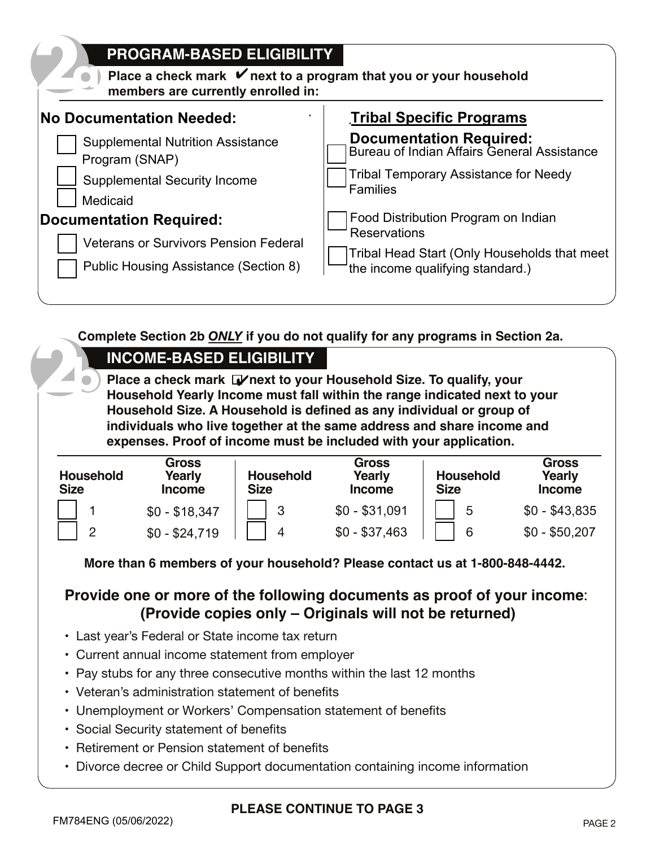| <b>PROGRAM-BASED ELIGIBILITY</b><br>Place a check mark $\mathbf{\nabla}$ next to a program that you or your household<br>members are currently enrolled in: |                                                            |  |  |  |  |
|-------------------------------------------------------------------------------------------------------------------------------------------------------------|------------------------------------------------------------|--|--|--|--|
| <b>No Documentation Needed:</b>                                                                                                                             | <b>Tribal Specific Programs</b>                            |  |  |  |  |
| <b>Supplemental Nutrition Assistance</b>                                                                                                                    | <b>Documentation Required:</b>                             |  |  |  |  |
| Program (SNAP)                                                                                                                                              | Bureau of Indian Affairs General Assistance                |  |  |  |  |
| <b>Supplemental Security Income</b>                                                                                                                         | <b>Tribal Temporary Assistance for Needy</b>               |  |  |  |  |
| Medicaid                                                                                                                                                    | <b>Families</b>                                            |  |  |  |  |
| <b>Documentation Required:</b>                                                                                                                              | Food Distribution Program on Indian<br><b>Reservations</b> |  |  |  |  |
| <b>Veterans or Survivors Pension Federal</b>                                                                                                                | Tribal Head Start (Only Households that meet               |  |  |  |  |
| Public Housing Assistance (Section 8)                                                                                                                       | the income qualifying standard.)                           |  |  |  |  |

**Complete Section 2b** *ONLY* **if you do not qualify for any programs in Section 2a.**

Place a check mark Denext to your Household Size. To qualify, your **Household Yearly Income must fall within the range indicated next to your Household Size. A Household is defined as any individual or group of individuals who live together at the same address and share income and expenses. Proof of income must be included with your application. b**<br>**Income-BASED ELIGIBILITY**<br>**Income must fall throughout Yearly Income must fall** 

| <b>Household</b><br><b>Size</b> | Gross<br>Yearly<br><b>Income</b> | <b>Household</b><br><b>Size</b> | <b>Gross</b><br>Yearly<br><b>Income</b> | <b>Household</b><br><b>Size</b> | <b>Gross</b><br>Yearly<br><b>Income</b> |
|---------------------------------|----------------------------------|---------------------------------|-----------------------------------------|---------------------------------|-----------------------------------------|
|                                 | $$0 - $18,347$                   | 3                               | $$0 - $31,091$                          | 5                               | $$0 - $43,835$                          |
| っ                               | $$0 - $24,719$                   | 4                               | $$0 - $37,463$                          | 6                               | $$0 - $50,207$                          |

**More than 6 members of your household? Please contact us at 1-800-848-4442.**

### **Provide one or more of the following documents as proof of your income**: **(Provide copies only – Originals will not be returned)**

- Last year's Federal or State income tax return
- Current annual income statement from employer
- Pay stubs for any three consecutive months within the last 12 months
- Veteran's administration statement of benefits
- Unemployment or Workers' Compensation statement of benefits
- Social Security statement of benefits
- Retirement or Pension statement of benefits
- Divorce decree or Child Support documentation containing income information

**2**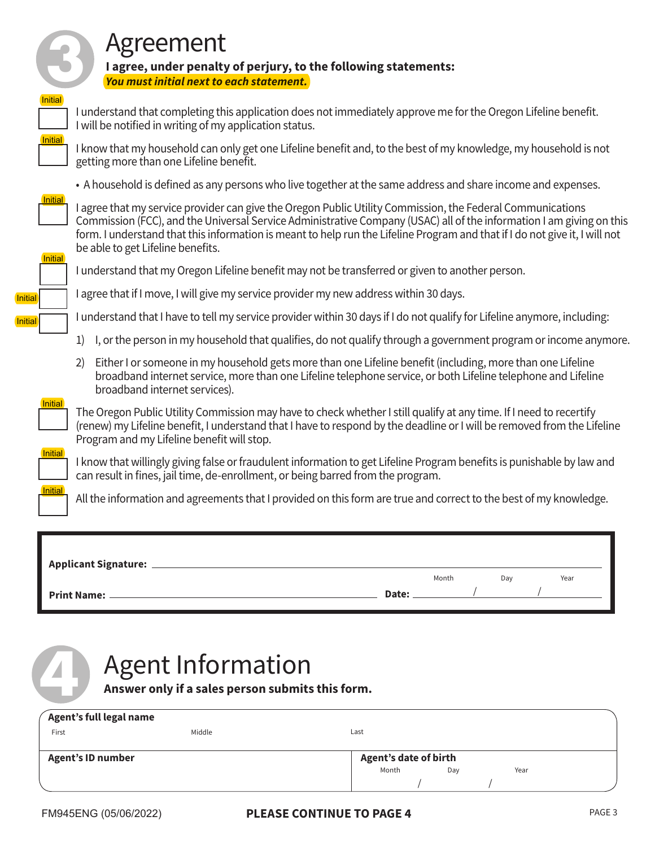

## Agreement

**I agree, under penalty of perjury, to the following statements:** *You must initial next to each statement.*



I understand that completing this application does not immediately approve me for the Oregon Lifeline benefit. I will be notified in writing of my application status.



I know that my household can only get one Lifeline benefit and, to the best of my knowledge, my household is not getting more than one Lifeline benefit.

• A household is defined as any persons who live together at the same address and share income and expenses.



I agree that my service provider can give the Oregon Public Utility Commission, the Federal Communications Commission (FCC), and the Universal Service Administrative Company (USAC) all of the information I am giving on this form. I understand that this information is meant to help run the Lifeline Program and that if I do not give it, I will not be able to get Lifeline benefits.



I understand that my Oregon Lifeline benefit may not be transferred or given to another person.

I agree that if I move, I will give my service provider my new address within 30 days.

I understand that I have to tell my service provider within 30 days if I do not qualify for Lifeline anymore, including:

- 1) I, or the person in my household that qualifies, do not qualify through a government program or income anymore.
- 2) Either I or someone in my household gets more than one Lifeline benefit (including, more than one Lifeline broadband internet service, more than one Lifeline telephone service, or both Lifeline telephone and Lifeline broadband internet services).



The Oregon Public Utility Commission may have to check whether I still qualify at any time. If I need to recertify (renew) my Lifeline benefit, I understand that I have to respond by the deadline or I will be removed from the Lifeline Program and my Lifeline benefit will stop.



I know that willingly giving false or fraudulent information to get Lifeline Program benefits is punishable by law and can result in fines, jail time, de-enrollment, or being barred from the program.



All the information and agreements that I provided on this form are true and correct to the best of my knowledge.

| <b>Applicant Signature:</b> |       |       |     |      |
|-----------------------------|-------|-------|-----|------|
|                             |       | Month | Day | Year |
| <b>Print Name: _</b>        | Date: |       |     |      |
|                             |       |       |     |      |

# **4** Agent Information

**Answer only if a sales person submits this form.**

|                          | Agent's full legal name |        |                              |     |      |  |
|--------------------------|-------------------------|--------|------------------------------|-----|------|--|
|                          | First                   | Middle | Last                         |     |      |  |
|                          |                         |        |                              |     |      |  |
| <b>Agent's ID number</b> |                         |        | <b>Agent's date of birth</b> |     |      |  |
|                          |                         |        | Month                        | Day | Year |  |
|                          |                         |        |                              |     |      |  |